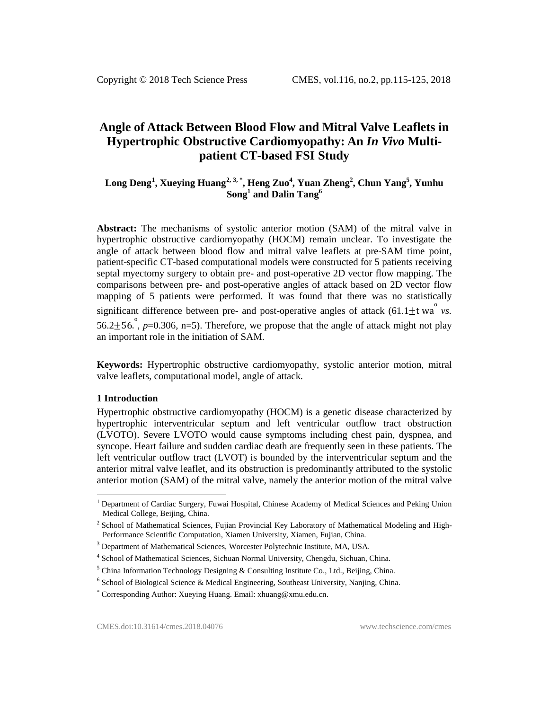# **Angle of Attack Between Blood Flow and Mitral Valve Leaflets in Hypertrophic Obstructive Cardiomyopathy: An** *In Vivo* **Multipatient CT-based FSI Study**

# **Long Deng[1](#page-0-0) , Xueying Huang[2](#page-0-1), [3,](#page-0-2) \* , Heng Zuo<sup>4</sup> , Yuan Zheng<sup>2</sup> , Chun Yang<sup>5</sup> , Yunhu Song<sup>1</sup> and Dalin Tang<sup>6</sup>**

**Abstract:** The mechanisms of systolic anterior motion (SAM) of the mitral valve in hypertrophic obstructive cardiomyopathy (HOCM) remain unclear. To investigate the angle of attack between blood flow and mitral valve leaflets at pre-SAM time point, patient-specific CT-based computational models were constructed for 5 patients receiving septal myectomy surgery to obtain pre- and post-operative 2D vector flow mapping. The comparisons between pre- and post-operative angles of attack based on 2D vector flow mapping of 5 patients were performed. It was found that there was no statistically significant difference between pre- and post-operative angles of attack  $(61.1 \pm t \text{ wa}^{\degree} \text{ v}s)$ . 56.2 $\pm$ 56.<sup>o</sup>, *p*=0.306, n=5). Therefore, we propose that the angle of attack might not play an important role in the initiation of SAM.

**Keywords:** Hypertrophic obstructive cardiomyopathy, systolic anterior motion, mitral valve leaflets, computational model, angle of attack.

#### **1 Introduction**

Hypertrophic obstructive cardiomyopathy (HOCM) is a genetic disease characterized by hypertrophic interventricular septum and left ventricular outflow tract obstruction (LVOTO). Severe LVOTO would cause symptoms including chest pain, dyspnea, and syncope. Heart failure and sudden cardiac death are frequently seen in these patients. The left ventricular outflow tract (LVOT) is bounded by the interventricular septum and the anterior mitral valve leaflet, and its obstruction is predominantly attributed to the systolic anterior motion (SAM) of the mitral valve, namely the anterior motion of the mitral valve

<span id="page-0-0"></span><sup>&</sup>lt;sup>1</sup> Department of Cardiac Surgery, Fuwai Hospital, Chinese Academy of Medical Sciences and Peking Union Medical College, Beijing, China.

<span id="page-0-1"></span><sup>&</sup>lt;sup>2</sup> School of Mathematical Sciences, Fujian Provincial Key Laboratory of Mathematical Modeling and High-Performance Scientific Computation, Xiamen University, Xiamen, Fujian, China.

<span id="page-0-2"></span><sup>&</sup>lt;sup>3</sup> Department of Mathematical Sciences, Worcester Polytechnic Institute, MA, USA.

<sup>4</sup> School of Mathematical Sciences, Sichuan Normal University, Chengdu, Sichuan, China.

 $5$  China Information Technology Designing & Consulting Institute Co., Ltd., Beijing, China.

 $6$  School of Biological Science & Medical Engineering, Southeast University, Nanjing, China.

<sup>\*</sup> Corresponding Author: Xueying Huang. Email: xhuang@xmu.edu.cn.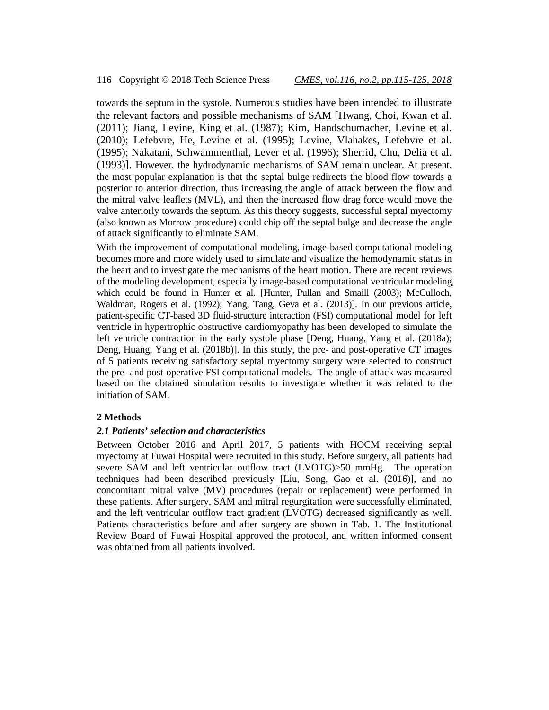towards the septum in the systole. Numerous studies have been intended to illustrate the relevant factors and possible mechanisms of SAM [Hwang, Choi, Kwan et al. (2011); Jiang, Levine, King et al. (1987); Kim, Handschumacher, Levine et al. (2010); Lefebvre, He, Levine et al. (1995); Levine, Vlahakes, Lefebvre et al. (1995); Nakatani, Schwammenthal, Lever et al. (1996); Sherrid, Chu, Delia et al. (1993)]. However, the hydrodynamic mechanisms of SAM remain unclear. At present, the most popular explanation is that the septal bulge redirects the blood flow towards a posterior to anterior direction, thus increasing the angle of attack between the flow and the mitral valve leaflets (MVL), and then the increased flow drag force would move the valve anteriorly towards the septum. As this theory suggests, successful septal myectomy (also known as Morrow procedure) could chip off the septal bulge and decrease the angle of attack significantly to eliminate SAM.

With the improvement of computational modeling, image-based computational modeling becomes more and more widely used to simulate and visualize the hemodynamic status in the heart and to investigate the mechanisms of the heart motion. There are recent reviews of the modeling development, especially image-based computational ventricular modeling, which could be found in Hunter et al. [Hunter, Pullan and Smaill (2003); McCulloch, Waldman, Rogers et al. (1992); Yang, Tang, Geva et al. (2013)]. In our previous article, patient-specific CT-based 3D fluid-structure interaction (FSI) computational model for left ventricle in hypertrophic obstructive cardiomyopathy has been developed to simulate the left ventricle contraction in the early systole phase [Deng, Huang, Yang et al. (2018a); Deng, Huang, Yang et al. (2018b)]. In this study, the pre- and post-operative CT images of 5 patients receiving satisfactory septal myectomy surgery were selected to construct the pre- and post-operative FSI computational models. The angle of attack was measured based on the obtained simulation results to investigate whether it was related to the initiation of SAM.

## **2 Methods**

#### *2.1 Patients' selection and characteristics*

Between October 2016 and April 2017, 5 patients with HOCM receiving septal myectomy at Fuwai Hospital were recruited in this study. Before surgery, all patients had severe SAM and left ventricular outflow tract (LVOTG)>50 mmHg. The operation techniques had been described previously [Liu, Song, Gao et al. (2016)], and no concomitant mitral valve (MV) procedures (repair or replacement) were performed in these patients. After surgery, SAM and mitral regurgitation were successfully eliminated, and the left ventricular outflow tract gradient (LVOTG) decreased significantly as well. Patients characteristics before and after surgery are shown in Tab. 1. The Institutional Review Board of Fuwai Hospital approved the protocol, and written informed consent was obtained from all patients involved.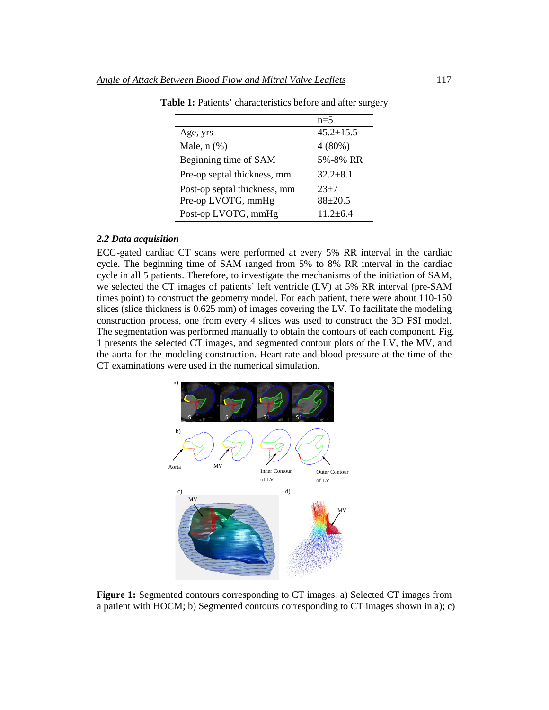|                              | $n=5$           |
|------------------------------|-----------------|
| Age, yrs                     | $45.2 \pm 15.5$ |
| Male, $n$ $(\%)$             | $4(80\%)$       |
| Beginning time of SAM        | 5%-8% RR        |
| Pre-op septal thickness, mm  | $32.2 + 8.1$    |
| Post-op septal thickness, mm | $23+7$          |
| Pre-op LVOTG, mmHg           | $88 + 20.5$     |
| Post-op LVOTG, mmHg          | $11.2 + 6.4$    |

Table 1: Patients' characteristics before and after surgery

# *2.2 Data acquisition*

ECG-gated cardiac CT scans were performed at every 5% RR interval in the cardiac cycle. The beginning time of SAM ranged from 5% to 8% RR interval in the cardiac cycle in all 5 patients. Therefore, to investigate the mechanisms of the initiation of SAM, we selected the CT images of patients' left ventricle (LV) at 5% RR interval (pre-SAM times point) to construct the geometry model. For each patient, there were about 110-150 slices (slice thickness is 0.625 mm) of images covering the LV. To facilitate the modeling construction process, one from every 4 slices was used to construct the 3D FSI model. The segmentation was performed manually to obtain the contours of each component. Fig. 1 presents the selected CT images, and segmented contour plots of the LV, the MV, and the aorta for the modeling construction. Heart rate and blood pressure at the time of the CT examinations were used in the numerical simulation.



**Figure 1:** Segmented contours corresponding to CT images. a) Selected CT images from a patient with HOCM; b) Segmented contours corresponding to CT images shown in a); c)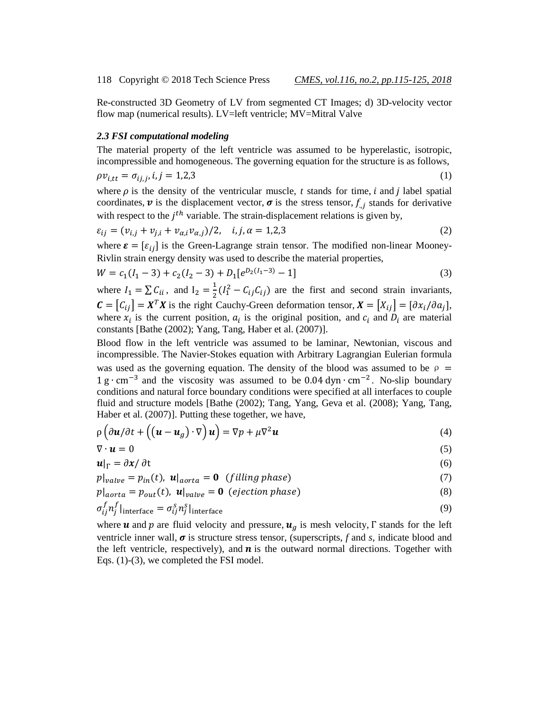Re-constructed 3D Geometry of LV from segmented CT Images; d) 3D-velocity vector flow map (numerical results). LV=left ventricle; MV=Mitral Valve

# *2.3 FSI computational modeling*

The material property of the left ventricle was assumed to be hyperelastic, isotropic, incompressible and homogeneous. The governing equation for the structure is as follows,

$$
\rho v_{i,tt} = \sigma_{ij,j}, i, j = 1,2,3
$$

where  $\rho$  is the density of the ventricular muscle, *t* stands for time, *i* and *j* label spatial coordinates,  $v$  is the displacement vector,  $\sigma$  is the stress tensor,  $f_{i,j}$  stands for derivative with respect to the  $j<sup>th</sup>$  variable. The strain-displacement relations is given by,

$$
\varepsilon_{ij} = (v_{i,j} + v_{j,i} + v_{\alpha,i}v_{\alpha,j})/2, \quad i, j, \alpha = 1, 2, 3
$$
 (2)

where  $\boldsymbol{\varepsilon} = [\varepsilon_{ij}]$  is the Green-Lagrange strain tensor. The modified non-linear Mooney-Rivlin strain energy density was used to describe the material properties,

$$
W = c_1(I_1 - 3) + c_2(I_2 - 3) + D_1[e^{D_2(I_1 - 3)} - 1]
$$
\n(3)

where  $I_1 = \sum C_{ii}$ , and  $I_2 = \frac{1}{2}(I_1^2 - C_{ij}C_{ij})$  are the first and second strain invariants,  $\mathbf{C} = [C_{ij}] = \mathbf{X}^T \mathbf{X}$  is the right Cauchy-Green deformation tensor,  $\mathbf{X} = [X_{ij}] = [\partial x_i / \partial a_i]$ , where  $x_i$  is the current position,  $a_i$  is the original position, and  $c_i$  and  $D_i$  are material constants [Bathe (2002); Yang, Tang, Haber et al. (2007)].

Blood flow in the left ventricle was assumed to be laminar, Newtonian, viscous and incompressible. The Navier-Stokes equation with Arbitrary Lagrangian Eulerian formula was used as the governing equation. The density of the blood was assumed to be  $\rho =$  $1 \text{ g} \cdot \text{cm}^{-3}$  and the viscosity was assumed to be 0.04 dyn  $\cdot$  cm<sup>-2</sup>. No-slip boundary conditions and natural force boundary conditions were specified at all interfaces to couple fluid and structure models [Bathe (2002); Tang, Yang, Geva et al. (2008); Yang, Tang, Haber et al. (2007)]. Putting these together, we have,

$$
\rho\left(\partial \boldsymbol{u}/\partial t + \left(\left(\boldsymbol{u} - \boldsymbol{u}_g\right) \cdot \nabla\right) \boldsymbol{u}\right) = \nabla p + \mu \nabla^2 \boldsymbol{u} \tag{4}
$$

$$
\nabla \cdot \boldsymbol{u} = 0 \tag{5}
$$

$$
\boldsymbol{u}|_{\Gamma} = \partial \boldsymbol{x} / \partial t \tag{6}
$$

$$
p|_{value} = p_{in}(t), \mathbf{u}|_{aorta} = \mathbf{0} \quad (filling phase)
$$
 (7)

$$
p|_{aorta} = p_{out}(t), \mathbf{u}|_{value} = \mathbf{0} \ (ejection\ phase)
$$
 (8)

$$
\sigma_{ij}^f n_j^f|_{\text{interface}} = \sigma_{ij}^s n_j^s|_{\text{interface}}
$$
\n(9)

where **u** and p are fluid velocity and pressure,  $u_a$  is mesh velocity,  $\Gamma$  stands for the left ventricle inner wall,  $\sigma$  is structure stress tensor, (superscripts,  $f$  and  $s$ , indicate blood and the left ventricle, respectively), and  $\boldsymbol{n}$  is the outward normal directions. Together with Eqs. (1)-(3), we completed the FSI model.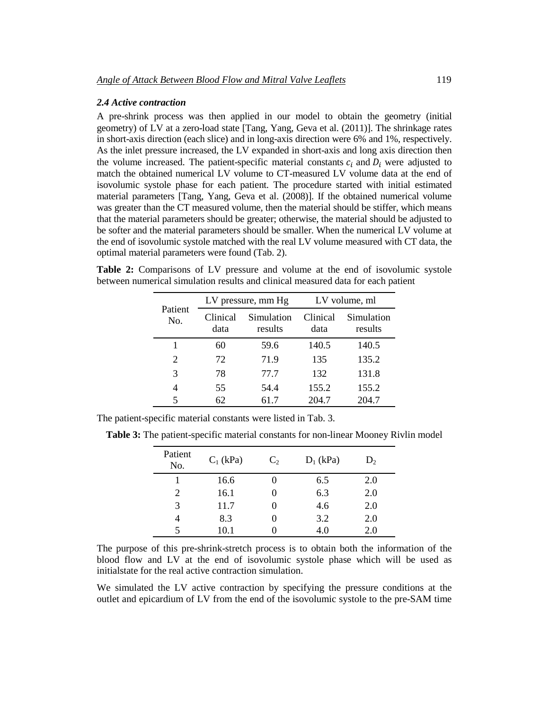### *2.4 Active contraction*

A pre-shrink process was then applied in our model to obtain the geometry (initial geometry) of LV at a zero-load state [Tang, Yang, Geva et al. (2011)]. The shrinkage rates in short-axis direction (each slice) and in long-axis direction were 6% and 1%, respectively. As the inlet pressure increased, the LV expanded in short-axis and long axis direction then the volume increased. The patient-specific material constants  $c_i$  and  $D_i$  were adjusted to match the obtained numerical LV volume to CT-measured LV volume data at the end of isovolumic systole phase for each patient. The procedure started with initial estimated material parameters [Tang, Yang, Geva et al. (2008)]. If the obtained numerical volume was greater than the CT measured volume, then the material should be stiffer, which means that the material parameters should be greater; otherwise, the material should be adjusted to be softer and the material parameters should be smaller. When the numerical LV volume at the end of isovolumic systole matched with the real LV volume measured with CT data, the optimal material parameters were found (Tab. 2).

**Table 2:** Comparisons of LV pressure and volume at the end of isovolumic systole between numerical simulation results and clinical measured data for each patient

| Patient<br>No. | LV pressure, mm Hg |                       | LV volume, ml    |                       |
|----------------|--------------------|-----------------------|------------------|-----------------------|
|                | Clinical<br>data   | Simulation<br>results | Clinical<br>data | Simulation<br>results |
| 1              | 60                 | 59.6                  | 140.5            | 140.5                 |
| 2              | 72                 | 71.9                  | 135              | 135.2                 |
| 3              | 78                 | 77.7                  | 132              | 131.8                 |
| $\overline{4}$ | 55                 | 54.4                  | 155.2            | 155.2                 |
| 5              | 62                 | 61.7                  | 204.7            | 204.7                 |

The patient-specific material constants were listed in Tab. 3.

**Table 3:** The patient-specific material constants for non-linear Mooney Rivlin model

| Patient<br>No. | $C_1$ (kPa) | $C_2$ | $D_1$ (kPa) | $D_2$ |
|----------------|-------------|-------|-------------|-------|
|                | 16.6        |       | 6.5         | 2.0   |
| 2              | 16.1        |       | 6.3         | 2.0   |
| 3              | 11.7        |       | 4.6         | 2.0   |
|                | 8.3         |       | 3.2         | 2.0   |
|                | 10.1        |       | 4.0         | 2.0   |

The purpose of this pre-shrink-stretch process is to obtain both the information of the blood flow and LV at the end of isovolumic systole phase which will be used as initialstate for the real active contraction simulation.

We simulated the LV active contraction by specifying the pressure conditions at the outlet and epicardium of LV from the end of the isovolumic systole to the pre-SAM time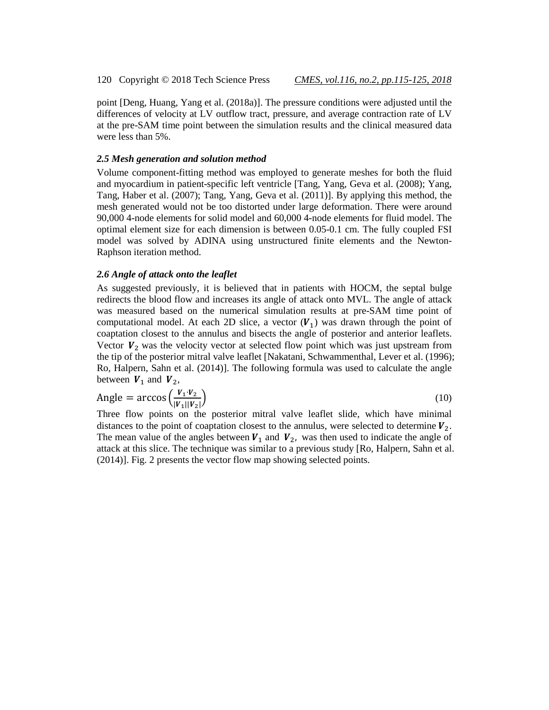point [Deng, Huang, Yang et al. (2018a)]. The pressure conditions were adjusted until the differences of velocity at LV outflow tract, pressure, and average contraction rate of LV at the pre-SAM time point between the simulation results and the clinical measured data were less than 5%.

#### *2.5 Mesh generation and solution method*

Volume component-fitting method was employed to generate meshes for both the fluid and myocardium in patient-specific left ventricle [Tang, Yang, Geva et al. (2008); Yang, Tang, Haber et al. (2007); Tang, Yang, Geva et al. (2011)]. By applying this method, the mesh generated would not be too distorted under large deformation. There were around 90,000 4-node elements for solid model and 60,000 4-node elements for fluid model. The optimal element size for each dimension is between 0.05-0.1 cm. The fully coupled FSI model was solved by ADINA using unstructured finite elements and the Newton-Raphson iteration method.

#### *2.6 Angle of attack onto the leaflet*

As suggested previously, it is believed that in patients with HOCM, the septal bulge redirects the blood flow and increases its angle of attack onto MVL. The angle of attack was measured based on the numerical simulation results at pre-SAM time point of computational model. At each 2D slice, a vector  $(V_1)$  was drawn through the point of coaptation closest to the annulus and bisects the angle of posterior and anterior leaflets. Vector  $V_2$  was the velocity vector at selected flow point which was just upstream from the tip of the posterior mitral valve leaflet [Nakatani, Schwammenthal, Lever et al. (1996); Ro, Halpern, Sahn et al. (2014)]. The following formula was used to calculate the angle between  $V_1$  and  $V_2$ ,

$$
\text{Angle} = \arccos\left(\frac{V_1 \cdot V_2}{|V_1||V_2|}\right) \tag{10}
$$

Three flow points on the posterior mitral valve leaflet slide, which have minimal distances to the point of coaptation closest to the annulus, were selected to determine  $V_2$ . The mean value of the angles between  $V_1$  and  $V_2$ , was then used to indicate the angle of attack at this slice. The technique was similar to a previous study [Ro, Halpern, Sahn et al. (2014)]. Fig. 2 presents the vector flow map showing selected points.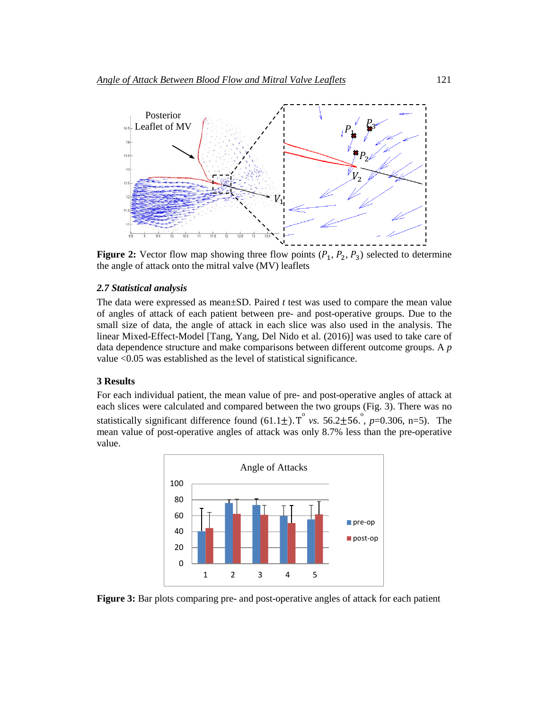

**Figure 2:** Vector flow map showing three flow points  $(P_1, P_2, P_3)$  selected to determine the angle of attack onto the mitral valve (MV) leaflets

#### *2.7 Statistical analysis*

The data were expressed as mean±SD. Paired *t* test was used to compare the mean value of angles of attack of each patient between pre- and post-operative groups. Due to the small size of data, the angle of attack in each slice was also used in the analysis. The linear Mixed-Effect-Model [Tang, Yang, Del Nido et al. (2016)] was used to take care of data dependence structure and make comparisons between different outcome groups. A *p*  value <0.05 was established as the level of statistical significance.

#### **3 Results**

For each individual patient, the mean value of pre- and post-operative angles of attack at each slices were calculated and compared between the two groups (Fig. 3). There was no statistically significant difference found  $(61.1 \pm)$ . T<sup>°</sup> *vs.*  $56.2 \pm 56$ .<sup>°</sup>, *p*=0.306, n=5). The mean value of post-operative angles of attack was only 8.7% less than the pre-operative value.



**Figure 3:** Bar plots comparing pre- and post-operative angles of attack for each patient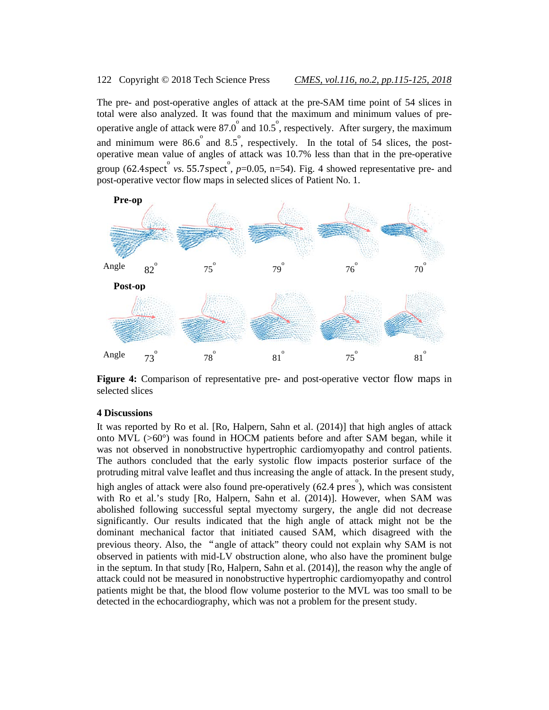#### 122 Copyright © 2018 Tech Science Press *CMES, vol.116, no.2, pp.115-125, 2018*

The pre- and post-operative angles of attack at the pre-SAM time point of 54 slices in total were also analyzed. It was found that the maximum and minimum values of preoperative angle of attack were  $87.0^{\circ}$  and  $10.5^{\circ}$ , respectively. After surgery, the maximum and minimum were  $86.6^{\circ}$  and  $8.5^{\circ}$ , respectively. In the total of 54 slices, the postoperative mean value of angles of attack was 10.7% less than that in the pre-operative group (62.4spect<sup>o</sup> vs. 55.7spect<sup>o</sup>,  $p=0.05$ , n=54). Fig. 4 showed representative pre- and post-operative vector flow maps in selected slices of Patient No. 1.



**Figure 4:** Comparison of representative pre- and post-operative vector flow maps in selected slices

#### **4 Discussions**

It was reported by Ro et al. [Ro, Halpern, Sahn et al. (2014)] that high angles of attack onto MVL (>60°) was found in HOCM patients before and after SAM began, while it was not observed in nonobstructive hypertrophic cardiomyopathy and control patients. The authors concluded that the early systolic flow impacts posterior surface of the protruding mitral valve leaflet and thus increasing the angle of attack. In the present study, high angles of attack were also found pre-operatively  $(62.4 \text{ pres}^{\circ})$ , which was consistent with Ro et al.'s study [Ro, Halpern, Sahn et al. (2014)]. However, when SAM was abolished following successful septal myectomy surgery, the angle did not decrease significantly. Our results indicated that the high angle of attack might not be the dominant mechanical factor that initiated caused SAM, which disagreed with the previous theory. Also, the "angle of attack" theory could not explain why SAM is not observed in patients with mid-LV obstruction alone, who also have the prominent bulge in the septum. In that study [Ro, Halpern, Sahn et al. (2014)], the reason why the angle of attack could not be measured in nonobstructive hypertrophic cardiomyopathy and control patients might be that, the blood flow volume posterior to the MVL was too small to be detected in the echocardiography, which was not a problem for the present study.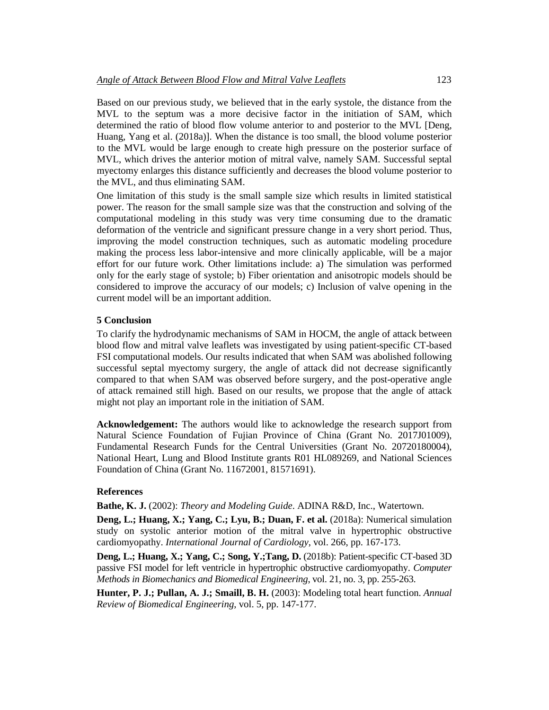Based on our previous study, we believed that in the early systole, the distance from the MVL to the septum was a more decisive factor in the initiation of SAM, which determined the ratio of blood flow volume anterior to and posterior to the MVL [Deng, Huang, Yang et al. (2018a)]. When the distance is too small, the blood volume posterior to the MVL would be large enough to create high pressure on the posterior surface of MVL, which drives the anterior motion of mitral valve, namely SAM. Successful septal myectomy enlarges this distance sufficiently and decreases the blood volume posterior to the MVL, and thus eliminating SAM.

One limitation of this study is the small sample size which results in limited statistical power. The reason for the small sample size was that the construction and solving of the computational modeling in this study was very time consuming due to the dramatic deformation of the ventricle and significant pressure change in a very short period. Thus, improving the model construction techniques, such as automatic modeling procedure making the process less labor-intensive and more clinically applicable, will be a major effort for our future work. Other limitations include: a) The simulation was performed only for the early stage of systole; b) Fiber orientation and anisotropic models should be considered to improve the accuracy of our models; c) Inclusion of valve opening in the current model will be an important addition.

# **5 Conclusion**

To clarify the hydrodynamic mechanisms of SAM in HOCM, the angle of attack between blood flow and mitral valve leaflets was investigated by using patient-specific CT-based FSI computational models. Our results indicated that when SAM was abolished following successful septal myectomy surgery, the angle of attack did not decrease significantly compared to that when SAM was observed before surgery, and the post-operative angle of attack remained still high. Based on our results, we propose that the angle of attack might not play an important role in the initiation of SAM.

**Acknowledgement:** The authors would like to acknowledge the research support from Natural Science Foundation of Fujian Province of China (Grant No. 2017J01009), Fundamental Research Funds for the Central Universities (Grant No. 20720180004), National Heart, Lung and Blood Institute grants R01 HL089269, and National Sciences Foundation of China (Grant No. 11672001, 81571691).

#### **References**

**Bathe, K. J.** (2002): *Theory and Modeling Guide*. ADINA R&D, Inc., Watertown.

**Deng, L.; Huang, X.; Yang, C.; Lyu, B.; Duan, F. et al.** (2018a): Numerical simulation study on systolic anterior motion of the mitral valve in hypertrophic obstructive cardiomyopathy. *International Journal of Cardiology*, vol. 266, pp. 167-173.

**Deng, L.; Huang, X.; Yang, C.; Song, Y.;Tang, D.** (2018b): Patient-specific CT-based 3D passive FSI model for left ventricle in hypertrophic obstructive cardiomyopathy. *Computer Methods in Biomechanics and Biomedical Engineering*, vol. 21, no. 3, pp. 255-263.

**Hunter, P. J.; Pullan, A. J.; Smaill, B. H.** (2003): Modeling total heart function. *Annual Review of Biomedical Engineering*, vol. 5, pp. 147-177.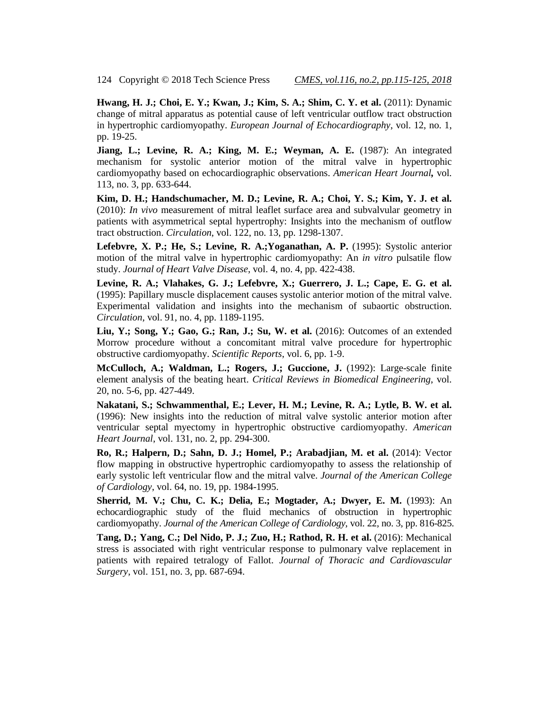124 Copyright © 2018 Tech Science Press *CMES, vol.116, no.2, pp.115-125, 2018*

**Hwang, H. J.; Choi, E. Y.; Kwan, J.; Kim, S. A.; Shim, C. Y. et al.** (2011): Dynamic change of mitral apparatus as potential cause of left ventricular outflow tract obstruction in hypertrophic cardiomyopathy. *European Journal of Echocardiography*, vol. 12, no. 1, pp. 19-25.

**Jiang, L.; Levine, R. A.; King, M. E.; Weyman, A. E.** (1987): An integrated mechanism for systolic anterior motion of the mitral valve in hypertrophic cardiomyopathy based on echocardiographic observations. *American Heart Journal,* vol. 113, no. 3, pp. 633-644.

**Kim, D. H.; Handschumacher, M. D.; Levine, R. A.; Choi, Y. S.; Kim, Y. J. et al.** (2010): *In vivo* measurement of mitral leaflet surface area and subvalvular geometry in patients with asymmetrical septal hypertrophy: Insights into the mechanism of outflow tract obstruction. *Circulation*, vol. 122, no. 13, pp. 1298-1307.

**Lefebvre, X. P.; He, S.; Levine, R. A.;Yoganathan, A. P.** (1995): Systolic anterior motion of the mitral valve in hypertrophic cardiomyopathy: An *in vitro* pulsatile flow study. *Journal of Heart Valve Disease*, vol. 4, no. 4, pp. 422-438.

**Levine, R. A.; Vlahakes, G. J.; Lefebvre, X.; Guerrero, J. L.; Cape, E. G. et al.** (1995): Papillary muscle displacement causes systolic anterior motion of the mitral valve. Experimental validation and insights into the mechanism of subaortic obstruction. *Circulation*, vol. 91, no. 4, pp. 1189-1195.

**Liu, Y.; Song, Y.; Gao, G.; Ran, J.; Su, W. et al.** (2016): Outcomes of an extended Morrow procedure without a concomitant mitral valve procedure for hypertrophic obstructive cardiomyopathy. *Scientific Reports*, vol. 6, pp. 1-9.

**McCulloch, A.; Waldman, L.; Rogers, J.; Guccione, J.** (1992): Large-scale finite element analysis of the beating heart. *Critical Reviews in Biomedical Engineering*, vol. 20, no. 5-6, pp. 427-449.

**Nakatani, S.; Schwammenthal, E.; Lever, H. M.; Levine, R. A.; Lytle, B. W. et al.**  (1996): New insights into the reduction of mitral valve systolic anterior motion after ventricular septal myectomy in hypertrophic obstructive cardiomyopathy. *American Heart Journal*, vol. 131, no. 2, pp. 294-300.

**Ro, R.; Halpern, D.; Sahn, D. J.; Homel, P.; Arabadjian, M. et al.** (2014): Vector flow mapping in obstructive hypertrophic cardiomyopathy to assess the relationship of early systolic left ventricular flow and the mitral valve. *Journal of the American College of Cardiology*, vol. 64, no. 19, pp. 1984-1995.

**Sherrid, M. V.; Chu, C. K.; Delia, E.; Mogtader, A.; Dwyer, E. M.** (1993): An echocardiographic study of the fluid mechanics of obstruction in hypertrophic cardiomyopathy. *Journal of the American College of Cardiology*, vol. 22, no. 3, pp. 816-825.

**Tang, D.; Yang, C.; Del Nido, P. J.; Zuo, H.; Rathod, R. H. et al.** (2016): Mechanical stress is associated with right ventricular response to pulmonary valve replacement in patients with repaired tetralogy of Fallot. *Journal of Thoracic and Cardiovascular Surgery*, vol. 151, no. 3, pp. 687-694.